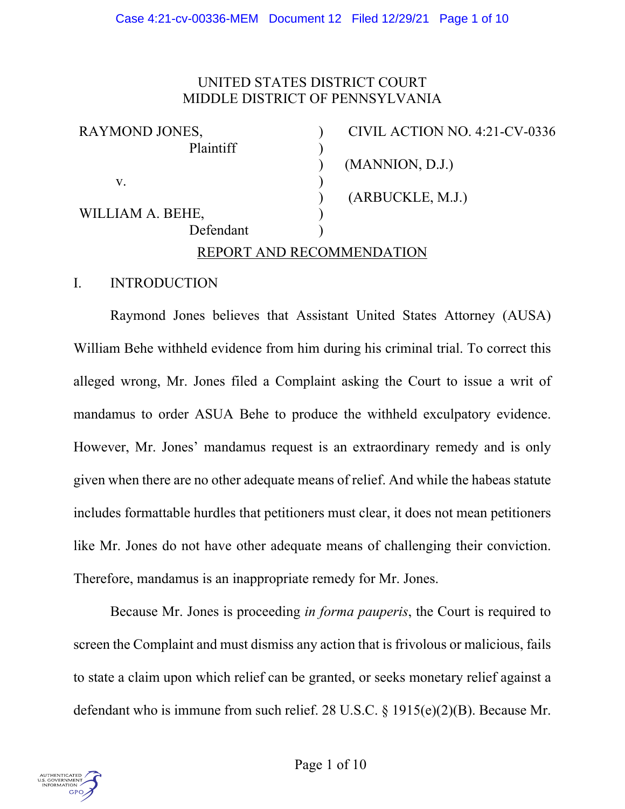## UNITED STATES DISTRICT COURT MIDDLE DISTRICT OF PENNSYLVANIA

| RAYMOND JONES,   | CIVIL ACTION NO. 4:21-CV-0336 |
|------------------|-------------------------------|
| Plaintiff        |                               |
|                  | (MANNION, D.J.)               |
| V.               |                               |
|                  | (ARBUCKLE, M.J.)              |
| WILLIAM A. BEHE, |                               |
| Defendant        |                               |
|                  | REPORT AND RECOMMENDATION     |

#### I. INTRODUCTION

Raymond Jones believes that Assistant United States Attorney (AUSA) William Behe withheld evidence from him during his criminal trial. To correct this alleged wrong, Mr. Jones filed a Complaint asking the Court to issue a writ of mandamus to order ASUA Behe to produce the withheld exculpatory evidence. However, Mr. Jones' mandamus request is an extraordinary remedy and is only given when there are no other adequate means of relief. And while the habeas statute includes formattable hurdles that petitioners must clear, it does not mean petitioners like Mr. Jones do not have other adequate means of challenging their conviction. Therefore, mandamus is an inappropriate remedy for Mr. Jones.

Because Mr. Jones is proceeding *in forma pauperis*, the Court is required to screen the Complaint and must dismiss any action that is frivolous or malicious, fails to state a claim upon which relief can be granted, or seeks monetary relief against a defendant who is immune from such relief. 28 U.S.C. § 1915(e)(2)(B). Because Mr.

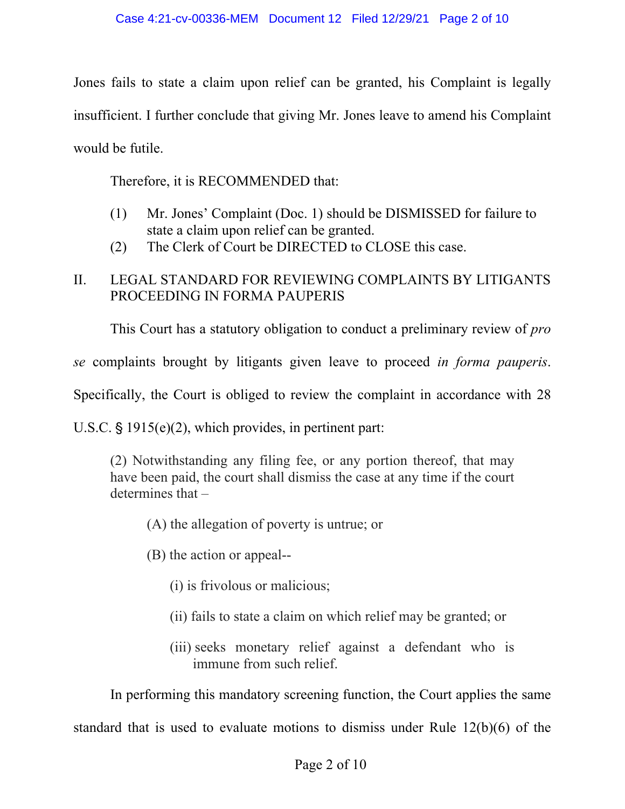Jones fails to state a claim upon relief can be granted, his Complaint is legally insufficient. I further conclude that giving Mr. Jones leave to amend his Complaint would be futile.

Therefore, it is RECOMMENDED that:

- (1) Mr. Jones' Complaint (Doc. 1) should be DISMISSED for failure to state a claim upon relief can be granted.
- (2) The Clerk of Court be DIRECTED to CLOSE this case.

# II. LEGAL STANDARD FOR REVIEWING COMPLAINTS BY LITIGANTS PROCEEDING IN FORMA PAUPERIS

This Court has a statutory obligation to conduct a preliminary review of *pro* 

*se* complaints brought by litigants given leave to proceed *in forma pauperis*.

Specifically, the Court is obliged to review the complaint in accordance with 28

U.S.C.  $\S$  1915(e)(2), which provides, in pertinent part:

(2) Notwithstanding any filing fee, or any portion thereof, that may have been paid, the court shall dismiss the case at any time if the court determines that –

(A) the allegation of poverty is untrue; or

- (B) the action or appeal--
	- (i) is frivolous or malicious;
	- (ii) fails to state a claim on which relief may be granted; or
	- (iii) seeks monetary relief against a defendant who is immune from such relief.

In performing this mandatory screening function, the Court applies the same

standard that is used to evaluate motions to dismiss under Rule 12(b)(6) of the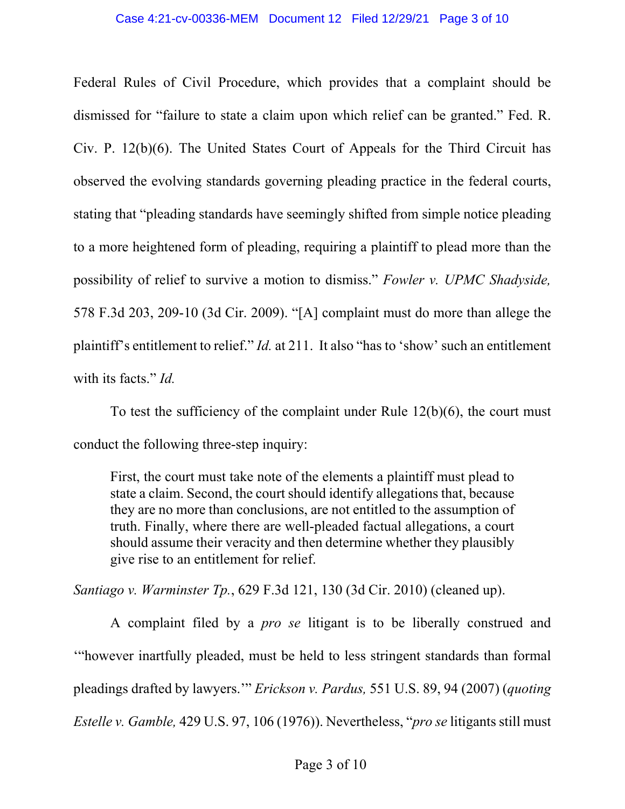Federal Rules of Civil Procedure, which provides that a complaint should be dismissed for "failure to state a claim upon which relief can be granted." Fed. R. Civ. P. 12(b)(6). The United States Court of Appeals for the Third Circuit has observed the evolving standards governing pleading practice in the federal courts, stating that "pleading standards have seemingly shifted from simple notice pleading to a more heightened form of pleading, requiring a plaintiff to plead more than the possibility of relief to survive a motion to dismiss." *Fowler v. UPMC Shadyside,* 578 F.3d 203, 209-10 (3d Cir. 2009). "[A] complaint must do more than allege the plaintiff's entitlement to relief." *Id.* at 211. It also "has to 'show' such an entitlement with its facts." *Id.* 

To test the sufficiency of the complaint under Rule 12(b)(6), the court must conduct the following three-step inquiry:

First, the court must take note of the elements a plaintiff must plead to state a claim. Second, the court should identify allegations that, because they are no more than conclusions, are not entitled to the assumption of truth. Finally, where there are well-pleaded factual allegations, a court should assume their veracity and then determine whether they plausibly give rise to an entitlement for relief.

*Santiago v. Warminster Tp.*, 629 F.3d 121, 130 (3d Cir. 2010) (cleaned up).

A complaint filed by a *pro se* litigant is to be liberally construed and '"however inartfully pleaded, must be held to less stringent standards than formal pleadings drafted by lawyers.'" *Erickson v. Pardus,* 551 U.S. 89, 94 (2007) (*quoting Estelle v. Gamble,* 429 U.S. 97, 106 (1976)). Nevertheless, "*pro se* litigants still must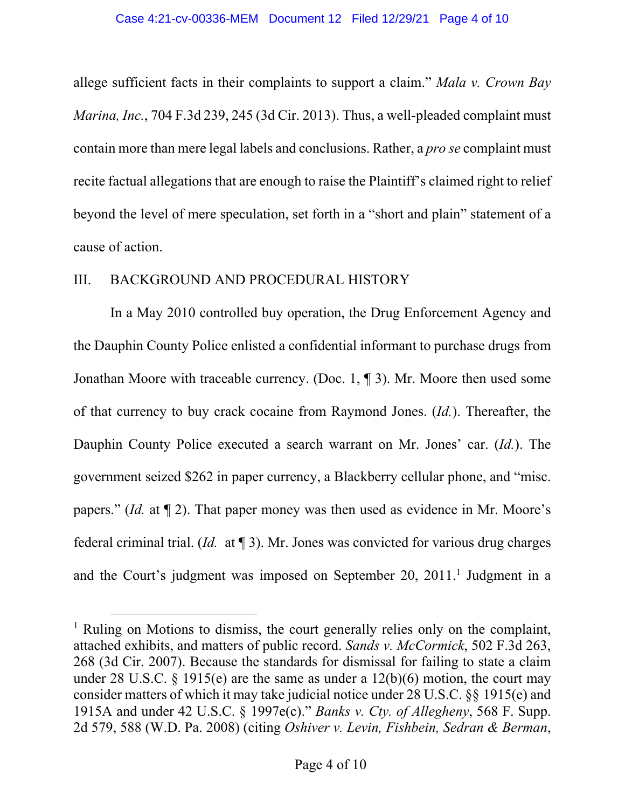allege sufficient facts in their complaints to support a claim." *Mala v. Crown Bay Marina, Inc.*, 704 F.3d 239, 245 (3d Cir. 2013). Thus, a well-pleaded complaint must contain more than mere legal labels and conclusions. Rather, a *pro se* complaint must recite factual allegations that are enough to raise the Plaintiff's claimed right to relief beyond the level of mere speculation, set forth in a "short and plain" statement of a cause of action.

#### III. BACKGROUND AND PROCEDURAL HISTORY

 In a May 2010 controlled buy operation, the Drug Enforcement Agency and the Dauphin County Police enlisted a confidential informant to purchase drugs from Jonathan Moore with traceable currency. (Doc. 1, ¶ 3). Mr. Moore then used some of that currency to buy crack cocaine from Raymond Jones. (*Id.*). Thereafter, the Dauphin County Police executed a search warrant on Mr. Jones' car. (*Id.*). The government seized \$262 in paper currency, a Blackberry cellular phone, and "misc. papers." (*Id.* at ¶ 2). That paper money was then used as evidence in Mr. Moore's federal criminal trial. (*Id.* at ¶ 3). Mr. Jones was convicted for various drug charges and the Court's judgment was imposed on September 20, 2011.<sup>1</sup> Judgment in a

<sup>&</sup>lt;sup>1</sup> Ruling on Motions to dismiss, the court generally relies only on the complaint, attached exhibits, and matters of public record. *Sands v. McCormick*, 502 F.3d 263, 268 (3d Cir. 2007). Because the standards for dismissal for failing to state a claim under 28 U.S.C. § 1915(e) are the same as under a  $12(b)(6)$  motion, the court may consider matters of which it may take judicial notice under 28 U.S.C. §§ 1915(e) and 1915A and under 42 U.S.C. § 1997e(c)." *Banks v. Cty. of Allegheny*, 568 F. Supp. 2d 579, 588 (W.D. Pa. 2008) (citing *Oshiver v. Levin, Fishbein, Sedran & Berman*,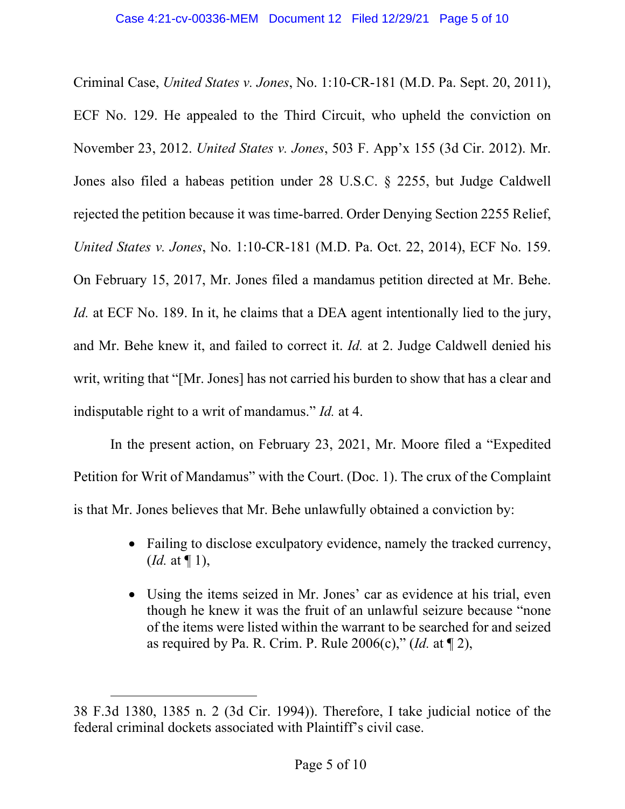Criminal Case, *United States v. Jones*, No. 1:10-CR-181 (M.D. Pa. Sept. 20, 2011), ECF No. 129. He appealed to the Third Circuit, who upheld the conviction on November 23, 2012. *United States v. Jones*, 503 F. App'x 155 (3d Cir. 2012). Mr. Jones also filed a habeas petition under 28 U.S.C. § 2255, but Judge Caldwell rejected the petition because it was time-barred. Order Denying Section 2255 Relief, *United States v. Jones*, No. 1:10-CR-181 (M.D. Pa. Oct. 22, 2014), ECF No. 159. On February 15, 2017, Mr. Jones filed a mandamus petition directed at Mr. Behe. *Id.* at ECF No. 189. In it, he claims that a DEA agent intentionally lied to the jury, and Mr. Behe knew it, and failed to correct it. *Id.* at 2. Judge Caldwell denied his writ, writing that "[Mr. Jones] has not carried his burden to show that has a clear and indisputable right to a writ of mandamus." *Id.* at 4.

 In the present action, on February 23, 2021, Mr. Moore filed a "Expedited Petition for Writ of Mandamus" with the Court. (Doc. 1). The crux of the Complaint is that Mr. Jones believes that Mr. Behe unlawfully obtained a conviction by:

- Failing to disclose exculpatory evidence, namely the tracked currency, (*Id.* at ¶ 1),
- Using the items seized in Mr. Jones' car as evidence at his trial, even though he knew it was the fruit of an unlawful seizure because "none of the items were listed within the warrant to be searched for and seized as required by Pa. R. Crim. P. Rule 2006(c)," (*Id.* at ¶ 2),

<sup>38</sup> F.3d 1380, 1385 n. 2 (3d Cir. 1994)). Therefore, I take judicial notice of the federal criminal dockets associated with Plaintiff's civil case.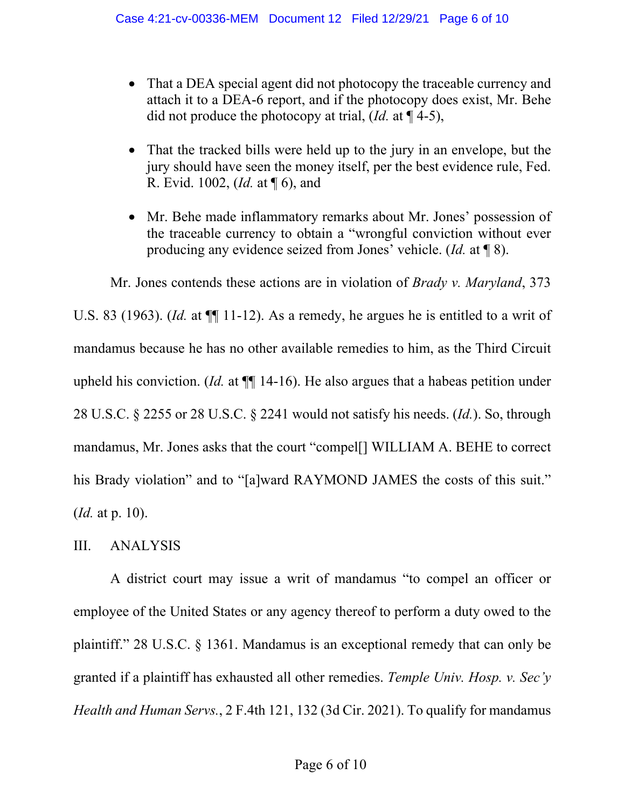- That a DEA special agent did not photocopy the traceable currency and attach it to a DEA-6 report, and if the photocopy does exist, Mr. Behe did not produce the photocopy at trial, (*Id.* at ¶ 4-5),
- That the tracked bills were held up to the jury in an envelope, but the jury should have seen the money itself, per the best evidence rule, Fed. R. Evid. 1002, (*Id.* at ¶ 6), and
- Mr. Behe made inflammatory remarks about Mr. Jones' possession of the traceable currency to obtain a "wrongful conviction without ever producing any evidence seized from Jones' vehicle. (*Id.* at ¶ 8).

 Mr. Jones contends these actions are in violation of *Brady v. Maryland*, 373 U.S. 83 (1963). *(Id.* at  $\P$ [11-12). As a remedy, he argues he is entitled to a writ of mandamus because he has no other available remedies to him, as the Third Circuit upheld his conviction. (*Id.* at ¶¶ 14-16). He also argues that a habeas petition under 28 U.S.C. § 2255 or 28 U.S.C. § 2241 would not satisfy his needs. (*Id.*). So, through mandamus, Mr. Jones asks that the court "compel[] WILLIAM A. BEHE to correct his Brady violation" and to "[a]ward RAYMOND JAMES the costs of this suit." (*Id.* at p. 10).

## III. ANALYSIS

A district court may issue a writ of mandamus "to compel an officer or employee of the United States or any agency thereof to perform a duty owed to the plaintiff." 28 U.S.C. § 1361. Mandamus is an exceptional remedy that can only be granted if a plaintiff has exhausted all other remedies. *Temple Univ. Hosp. v. Sec'y Health and Human Servs.*, 2 F.4th 121, 132 (3d Cir. 2021). To qualify for mandamus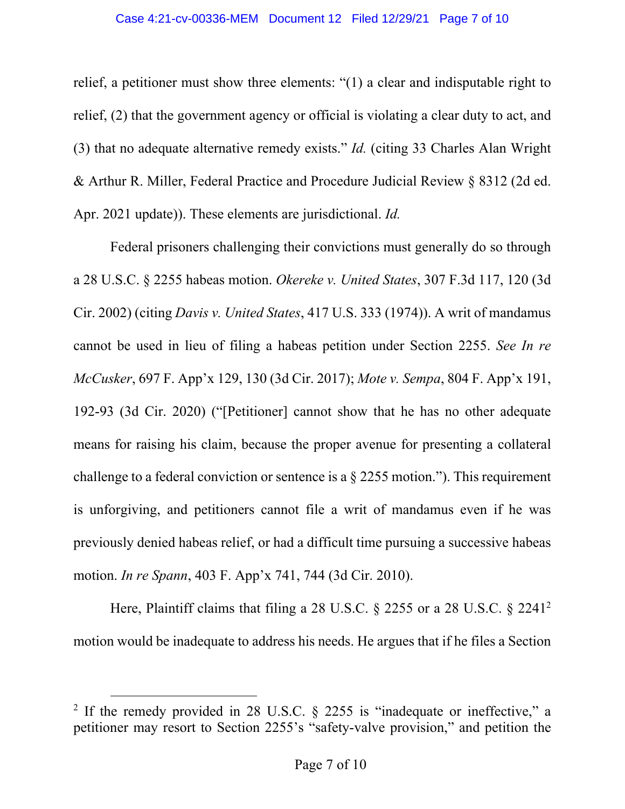relief, a petitioner must show three elements: "(1) a clear and indisputable right to relief, (2) that the government agency or official is violating a clear duty to act, and (3) that no adequate alternative remedy exists." *Id.* (citing 33 Charles Alan Wright & Arthur R. Miller, Federal Practice and Procedure Judicial Review § 8312 (2d ed. Apr. 2021 update)). These elements are jurisdictional. *Id.*

Federal prisoners challenging their convictions must generally do so through a 28 U.S.C. § 2255 habeas motion. *Okereke v. United States*, 307 F.3d 117, 120 (3d Cir. 2002) (citing *Davis v. United States*, 417 U.S. 333 (1974)). A writ of mandamus cannot be used in lieu of filing a habeas petition under Section 2255. *See In re McCusker*, 697 F. App'x 129, 130 (3d Cir. 2017); *Mote v. Sempa*, 804 F. App'x 191, 192-93 (3d Cir. 2020) ("[Petitioner] cannot show that he has no other adequate means for raising his claim, because the proper avenue for presenting a collateral challenge to a federal conviction or sentence is a § 2255 motion."). This requirement is unforgiving, and petitioners cannot file a writ of mandamus even if he was previously denied habeas relief, or had a difficult time pursuing a successive habeas motion. *In re Spann*, 403 F. App'x 741, 744 (3d Cir. 2010).

Here, Plaintiff claims that filing a 28 U.S.C. § 2255 or a 28 U.S.C. § 2241<sup>2</sup> motion would be inadequate to address his needs. He argues that if he files a Section

<sup>&</sup>lt;sup>2</sup> If the remedy provided in 28 U.S.C. § 2255 is "inadequate or ineffective," a petitioner may resort to Section 2255's "safety-valve provision," and petition the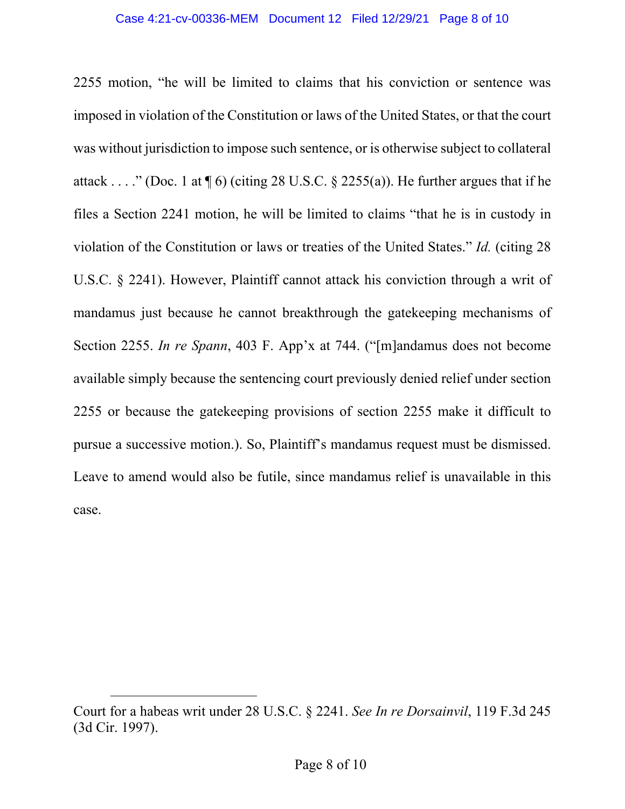2255 motion, "he will be limited to claims that his conviction or sentence was imposed in violation of the Constitution or laws of the United States, or that the court was without jurisdiction to impose such sentence, or is otherwise subject to collateral attack . . . ." (Doc. 1 at  $\P$  6) (citing 28 U.S.C. § 2255(a)). He further argues that if he files a Section 2241 motion, he will be limited to claims "that he is in custody in violation of the Constitution or laws or treaties of the United States." *Id.* (citing 28 U.S.C. § 2241). However, Plaintiff cannot attack his conviction through a writ of mandamus just because he cannot breakthrough the gatekeeping mechanisms of Section 2255. *In re Spann*, 403 F. App'x at 744. ("[m]andamus does not become available simply because the sentencing court previously denied relief under section 2255 or because the gatekeeping provisions of section 2255 make it difficult to pursue a successive motion.). So, Plaintiff's mandamus request must be dismissed. Leave to amend would also be futile, since mandamus relief is unavailable in this case.

Court for a habeas writ under 28 U.S.C. § 2241. *See In re Dorsainvil*, 119 F.3d 245 (3d Cir. 1997).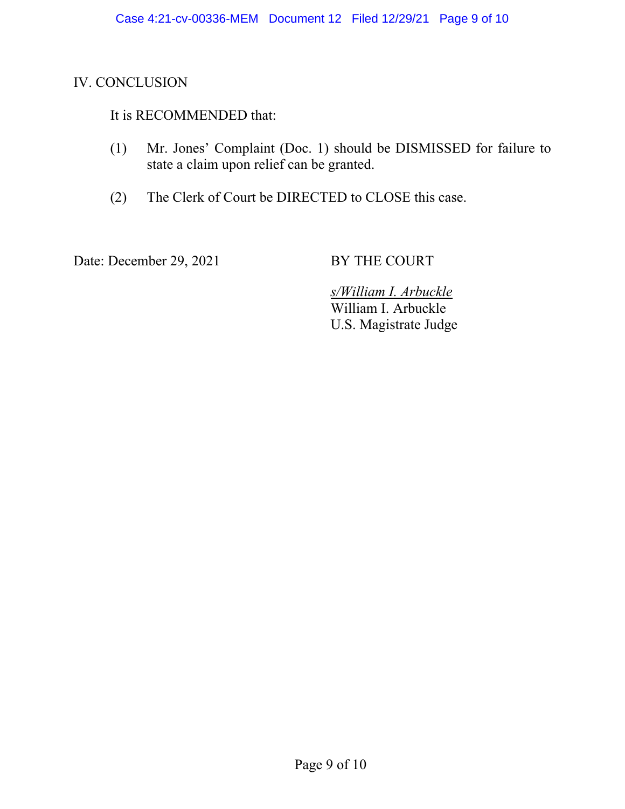## IV. CONCLUSION

# It is RECOMMENDED that:

- (1) Mr. Jones' Complaint (Doc. 1) should be DISMISSED for failure to state a claim upon relief can be granted.
- (2) The Clerk of Court be DIRECTED to CLOSE this case.

Date: December 29, 2021 BY THE COURT

 *s/William I. Arbuckle*  William I. Arbuckle U.S. Magistrate Judge